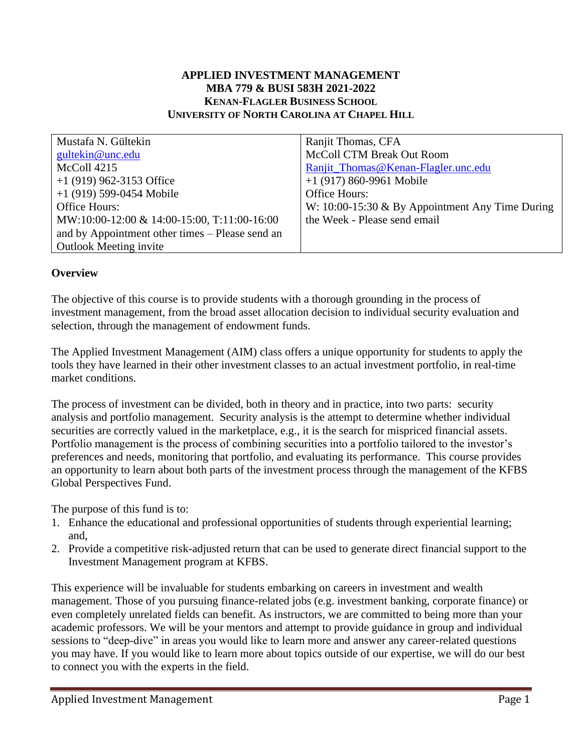## **APPLIED INVESTMENT MANAGEMENT MBA 779 & BUSI 583H 2021-2022 KENAN-FLAGLER BUSINESS SCHOOL UNIVERSITY OF NORTH CAROLINA AT CHAPEL HILL**

| Mustafa N. Gültekin                             | Ranjit Thomas, CFA                                |
|-------------------------------------------------|---------------------------------------------------|
| gultekin@unc.edu                                | <b>McColl CTM Break Out Room</b>                  |
| McColl 4215                                     | Ranjit_Thomas@Kenan-Flagler.unc.edu               |
| $+1$ (919) 962-3153 Office                      | $+1$ (917) 860-9961 Mobile                        |
| $+1$ (919) 599-0454 Mobile                      | Office Hours:                                     |
| Office Hours:                                   | W: 10:00-15:30 $&$ By Appointment Any Time During |
| MW:10:00-12:00 & 14:00-15:00, T:11:00-16:00     | the Week - Please send email                      |
| and by Appointment other times – Please send an |                                                   |
| <b>Outlook Meeting invite</b>                   |                                                   |

### **Overview**

The objective of this course is to provide students with a thorough grounding in the process of investment management, from the broad asset allocation decision to individual security evaluation and selection, through the management of endowment funds.

The Applied Investment Management (AIM) class offers a unique opportunity for students to apply the tools they have learned in their other investment classes to an actual investment portfolio, in real-time market conditions.

The process of investment can be divided, both in theory and in practice, into two parts: security analysis and portfolio management. Security analysis is the attempt to determine whether individual securities are correctly valued in the marketplace, e.g., it is the search for mispriced financial assets. Portfolio management is the process of combining securities into a portfolio tailored to the investor's preferences and needs, monitoring that portfolio, and evaluating its performance. This course provides an opportunity to learn about both parts of the investment process through the management of the KFBS Global Perspectives Fund.

The purpose of this fund is to:

- 1. Enhance the educational and professional opportunities of students through experiential learning; and,
- 2. Provide a competitive risk-adjusted return that can be used to generate direct financial support to the Investment Management program at KFBS.

This experience will be invaluable for students embarking on careers in investment and wealth management. Those of you pursuing finance-related jobs (e.g. investment banking, corporate finance) or even completely unrelated fields can benefit. As instructors, we are committed to being more than your academic professors. We will be your mentors and attempt to provide guidance in group and individual sessions to "deep-dive" in areas you would like to learn more and answer any career-related questions you may have. If you would like to learn more about topics outside of our expertise, we will do our best to connect you with the experts in the field.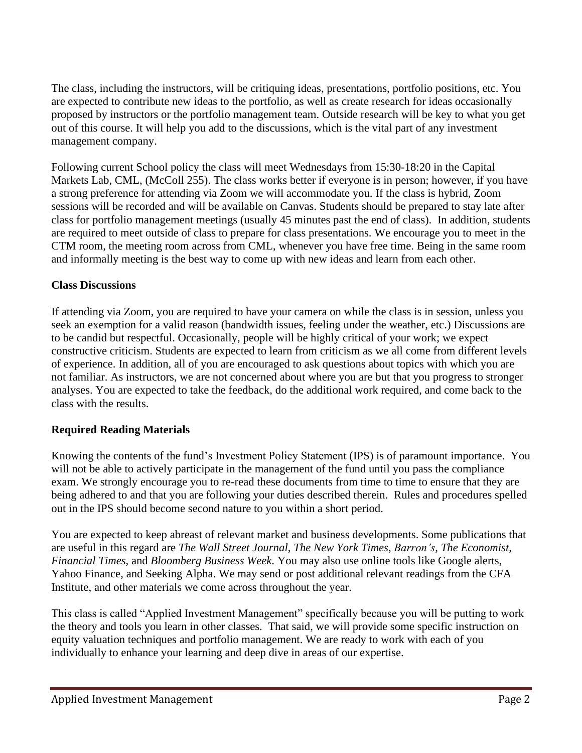The class, including the instructors, will be critiquing ideas, presentations, portfolio positions, etc. You are expected to contribute new ideas to the portfolio, as well as create research for ideas occasionally proposed by instructors or the portfolio management team. Outside research will be key to what you get out of this course. It will help you add to the discussions, which is the vital part of any investment management company.

Following current School policy the class will meet Wednesdays from 15:30-18:20 in the Capital Markets Lab, CML, (McColl 255). The class works better if everyone is in person; however, if you have a strong preference for attending via Zoom we will accommodate you. If the class is hybrid, Zoom sessions will be recorded and will be available on Canvas. Students should be prepared to stay late after class for portfolio management meetings (usually 45 minutes past the end of class). In addition, students are required to meet outside of class to prepare for class presentations. We encourage you to meet in the CTM room, the meeting room across from CML, whenever you have free time. Being in the same room and informally meeting is the best way to come up with new ideas and learn from each other.

# **Class Discussions**

If attending via Zoom, you are required to have your camera on while the class is in session, unless you seek an exemption for a valid reason (bandwidth issues, feeling under the weather, etc.) Discussions are to be candid but respectful. Occasionally, people will be highly critical of your work; we expect constructive criticism. Students are expected to learn from criticism as we all come from different levels of experience. In addition, all of you are encouraged to ask questions about topics with which you are not familiar. As instructors, we are not concerned about where you are but that you progress to stronger analyses. You are expected to take the feedback, do the additional work required, and come back to the class with the results.

# **Required Reading Materials**

Knowing the contents of the fund's Investment Policy Statement (IPS) is of paramount importance. You will not be able to actively participate in the management of the fund until you pass the compliance exam. We strongly encourage you to re-read these documents from time to time to ensure that they are being adhered to and that you are following your duties described therein. Rules and procedures spelled out in the IPS should become second nature to you within a short period.

You are expected to keep abreast of relevant market and business developments. Some publications that are useful in this regard are *The Wall Street Journal*, *The New York Times*, *Barron's, The Economist, Financial Times,* and *Bloomberg Business Week*. You may also use online tools like Google alerts, Yahoo Finance, and Seeking Alpha. We may send or post additional relevant readings from the CFA Institute, and other materials we come across throughout the year.

This class is called "Applied Investment Management" specifically because you will be putting to work the theory and tools you learn in other classes. That said, we will provide some specific instruction on equity valuation techniques and portfolio management. We are ready to work with each of you individually to enhance your learning and deep dive in areas of our expertise.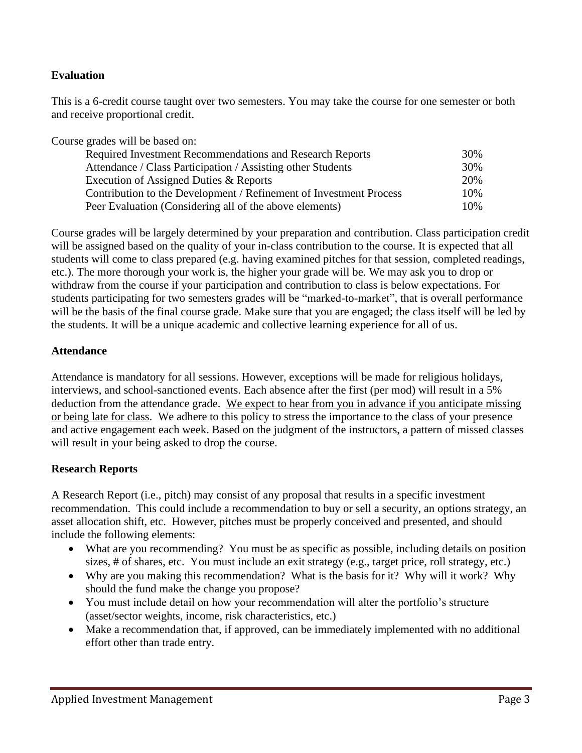## **Evaluation**

This is a 6-credit course taught over two semesters. You may take the course for one semester or both and receive proportional credit.

Course grades will be based on:

| <b>Required Investment Recommendations and Research Reports</b>    |     |
|--------------------------------------------------------------------|-----|
| Attendance / Class Participation / Assisting other Students        | 30% |
| Execution of Assigned Duties & Reports                             | 20% |
| Contribution to the Development / Refinement of Investment Process | 10% |
| Peer Evaluation (Considering all of the above elements)            | 10% |

Course grades will be largely determined by your preparation and contribution. Class participation credit will be assigned based on the quality of your in-class contribution to the course. It is expected that all students will come to class prepared (e.g. having examined pitches for that session, completed readings, etc.). The more thorough your work is, the higher your grade will be. We may ask you to drop or withdraw from the course if your participation and contribution to class is below expectations. For students participating for two semesters grades will be "marked-to-market", that is overall performance will be the basis of the final course grade. Make sure that you are engaged; the class itself will be led by the students. It will be a unique academic and collective learning experience for all of us.

### **Attendance**

Attendance is mandatory for all sessions. However, exceptions will be made for religious holidays, interviews, and school-sanctioned events. Each absence after the first (per mod) will result in a 5% deduction from the attendance grade. We expect to hear from you in advance if you anticipate missing or being late for class. We adhere to this policy to stress the importance to the class of your presence and active engagement each week. Based on the judgment of the instructors, a pattern of missed classes will result in your being asked to drop the course.

## **Research Reports**

A Research Report (i.e., pitch) may consist of any proposal that results in a specific investment recommendation. This could include a recommendation to buy or sell a security, an options strategy, an asset allocation shift, etc. However, pitches must be properly conceived and presented, and should include the following elements:

- What are you recommending? You must be as specific as possible, including details on position sizes, # of shares, etc. You must include an exit strategy (e.g., target price, roll strategy, etc.)
- Why are you making this recommendation? What is the basis for it? Why will it work? Why should the fund make the change you propose?
- You must include detail on how your recommendation will alter the portfolio's structure (asset/sector weights, income, risk characteristics, etc.)
- Make a recommendation that, if approved, can be immediately implemented with no additional effort other than trade entry.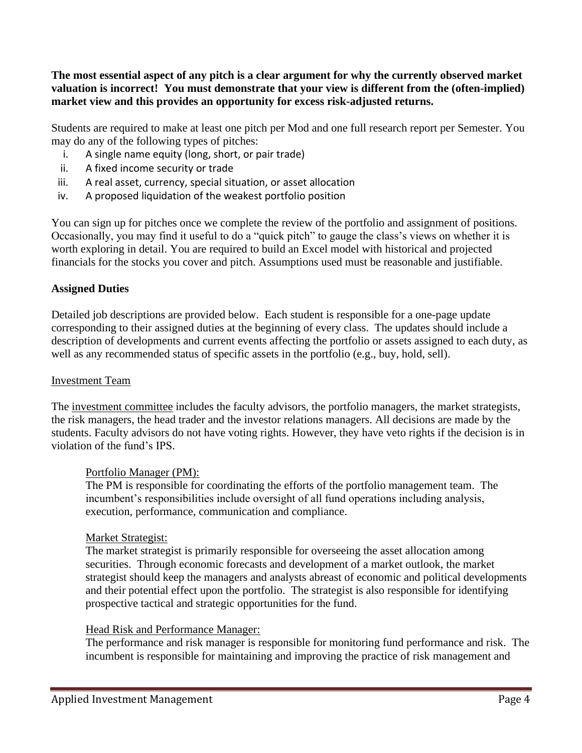**The most essential aspect of any pitch is a clear argument for why the currently observed market valuation is incorrect! You must demonstrate that your view is different from the (often-implied) market view and this provides an opportunity for excess risk-adjusted returns.** 

Students are required to make at least one pitch per Mod and one full research report per Semester. You may do any of the following types of pitches:

- i. A single name equity (long, short, or pair trade)
- ii. A fixed income security or trade
- iii. A real asset, currency, special situation, or asset allocation
- iv. A proposed liquidation of the weakest portfolio position

You can sign up for pitches once we complete the review of the portfolio and assignment of positions. Occasionally, you may find it useful to do a "quick pitch" to gauge the class's views on whether it is worth exploring in detail. You are required to build an Excel model with historical and projected financials for the stocks you cover and pitch. Assumptions used must be reasonable and justifiable.

## **Assigned Duties**

Detailed job descriptions are provided below. Each student is responsible for a one-page update corresponding to their assigned duties at the beginning of every class. The updates should include a description of developments and current events affecting the portfolio or assets assigned to each duty, as well as any recommended status of specific assets in the portfolio (e.g., buy, hold, sell).

#### Investment Team

The investment committee includes the faculty advisors, the portfolio managers, the market strategists, the risk managers, the head trader and the investor relations managers. All decisions are made by the students. Faculty advisors do not have voting rights. However, they have veto rights if the decision is in violation of the fund's IPS.

#### Portfolio Manager (PM):

The PM is responsible for coordinating the efforts of the portfolio management team. The incumbent's responsibilities include oversight of all fund operations including analysis, execution, performance, communication and compliance.

#### Market Strategist:

The market strategist is primarily responsible for overseeing the asset allocation among securities. Through economic forecasts and development of a market outlook, the market strategist should keep the managers and analysts abreast of economic and political developments and their potential effect upon the portfolio. The strategist is also responsible for identifying prospective tactical and strategic opportunities for the fund.

#### Head Risk and Performance Manager:

The performance and risk manager is responsible for monitoring fund performance and risk. The incumbent is responsible for maintaining and improving the practice of risk management and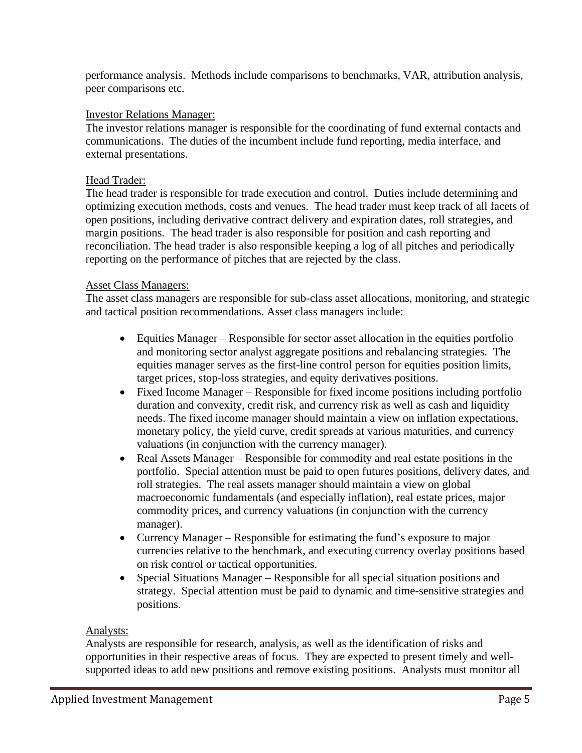performance analysis. Methods include comparisons to benchmarks, VAR, attribution analysis, peer comparisons etc.

## Investor Relations Manager:

The investor relations manager is responsible for the coordinating of fund external contacts and communications. The duties of the incumbent include fund reporting, media interface, and external presentations.

### Head Trader:

The head trader is responsible for trade execution and control. Duties include determining and optimizing execution methods, costs and venues. The head trader must keep track of all facets of open positions, including derivative contract delivery and expiration dates, roll strategies, and margin positions. The head trader is also responsible for position and cash reporting and reconciliation. The head trader is also responsible keeping a log of all pitches and periodically reporting on the performance of pitches that are rejected by the class.

### Asset Class Managers:

The asset class managers are responsible for sub-class asset allocations, monitoring, and strategic and tactical position recommendations. Asset class managers include:

- Equities Manager Responsible for sector asset allocation in the equities portfolio and monitoring sector analyst aggregate positions and rebalancing strategies. The equities manager serves as the first-line control person for equities position limits, target prices, stop-loss strategies, and equity derivatives positions.
- Fixed Income Manager Responsible for fixed income positions including portfolio duration and convexity, credit risk, and currency risk as well as cash and liquidity needs. The fixed income manager should maintain a view on inflation expectations, monetary policy, the yield curve, credit spreads at various maturities, and currency valuations (in conjunction with the currency manager).
- Real Assets Manager Responsible for commodity and real estate positions in the portfolio. Special attention must be paid to open futures positions, delivery dates, and roll strategies. The real assets manager should maintain a view on global macroeconomic fundamentals (and especially inflation), real estate prices, major commodity prices, and currency valuations (in conjunction with the currency manager).
- Currency Manager Responsible for estimating the fund's exposure to major currencies relative to the benchmark, and executing currency overlay positions based on risk control or tactical opportunities.
- Special Situations Manager Responsible for all special situation positions and strategy. Special attention must be paid to dynamic and time-sensitive strategies and positions.

#### Analysts:

Analysts are responsible for research, analysis, as well as the identification of risks and opportunities in their respective areas of focus. They are expected to present timely and wellsupported ideas to add new positions and remove existing positions. Analysts must monitor all